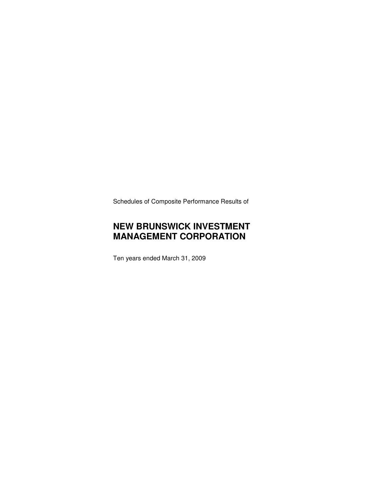Schedules of Composite Performance Results of

# **NEW BRUNSWICK INVESTMENT MANAGEMENT CORPORATION**

Ten years ended March 31, 2009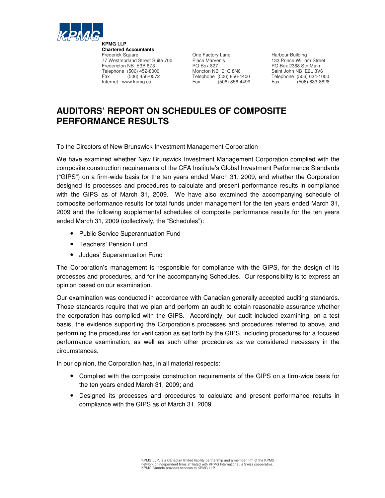

**Chartered Accountants** 77 Westmorland Street Suite 700 Place Marven's Fredericton NB E3B 6Z3 PO Box 827 PO Box 2388 Stn Main Telephone (506) 452-8000 Moncton NB E1C 8N6 Saint John NB E2L 3V6<br>
Fax (506) 450-0072 Telephone (506) 856-4400 Telephone (506) 634-1000 Fax (506) 450-0072 Telephone (506) 856-4400 Telephone (506) 634-1000 Internet www.kpmg.ca Fax

Frederick Square One Factory Lane Harbour Building

# **AUDITORS' REPORT ON SCHEDULES OF COMPOSITE PERFORMANCE RESULTS**

To the Directors of New Brunswick Investment Management Corporation

We have examined whether New Brunswick Investment Management Corporation complied with the composite construction requirements of the CFA Institute's Global Investment Performance Standards ("GIPS") on a firm-wide basis for the ten years ended March 31, 2009, and whether the Corporation designed its processes and procedures to calculate and present performance results in compliance with the GIPS as of March 31, 2009. We have also examined the accompanying schedule of composite performance results for total funds under management for the ten years ended March 31, 2009 and the following supplemental schedules of composite performance results for the ten years ended March 31, 2009 (collectively, the "Schedules"):

- Public Service Superannuation Fund
- Teachers' Pension Fund
- Judges' Superannuation Fund

The Corporation's management is responsible for compliance with the GIPS, for the design of its processes and procedures, and for the accompanying Schedules. Our responsibility is to express an opinion based on our examination.

Our examination was conducted in accordance with Canadian generally accepted auditing standards. Those standards require that we plan and perform an audit to obtain reasonable assurance whether the corporation has complied with the GIPS. Accordingly, our audit included examining, on a test basis, the evidence supporting the Corporation's processes and procedures referred to above, and performing the procedures for verification as set forth by the GIPS, including procedures for a focused performance examination, as well as such other procedures as we considered necessary in the circumstances.

In our opinion, the Corporation has, in all material respects:

- Complied with the composite construction requirements of the GIPS on a firm-wide basis for the ten years ended March 31, 2009; and
- Designed its processes and procedures to calculate and present performance results in compliance with the GIPS as of March 31, 2009.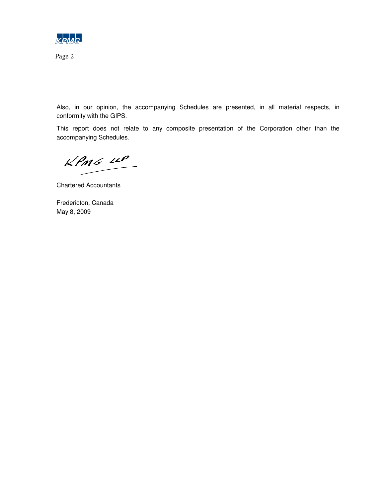

Page 2

Also, in our opinion, the accompanying Schedules are presented, in all material respects, in conformity with the GIPS.

This report does not relate to any composite presentation of the Corporation other than the accompanying Schedules.

 $KPMG$  110

Chartered Accountants

Fredericton, Canada May 8, 2009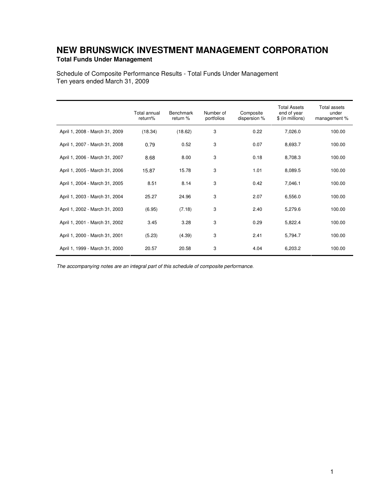## **NEW BRUNSWICK INVESTMENT MANAGEMENT CORPORATION Total Funds Under Management**

Schedule of Composite Performance Results - Total Funds Under Management Ten years ended March 31, 2009

|                                | <b>Total annual</b><br>return% | <b>Benchmark</b><br>return % | Number of<br>portfolios | Composite<br>dispersion % | <b>Total Assets</b><br>end of year<br>\$ (in millions) | <b>Total assets</b><br>under<br>management % |
|--------------------------------|--------------------------------|------------------------------|-------------------------|---------------------------|--------------------------------------------------------|----------------------------------------------|
| April 1, 2008 - March 31, 2009 | (18.34)                        | (18.62)                      | 3                       | 0.22                      | 7,026.0                                                | 100.00                                       |
| April 1, 2007 - March 31, 2008 | 0.79                           | 0.52                         | 3                       | 0.07                      | 8,693.7                                                | 100.00                                       |
| April 1, 2006 - March 31, 2007 | 8.68                           | 8.00                         | 3                       | 0.18                      | 8,708.3                                                | 100.00                                       |
| April 1, 2005 - March 31, 2006 | 15.87                          | 15.78                        | 3                       | 1.01                      | 8,089.5                                                | 100.00                                       |
| April 1, 2004 - March 31, 2005 | 8.51                           | 8.14                         | 3                       | 0.42                      | 7,046.1                                                | 100.00                                       |
| April 1, 2003 - March 31, 2004 | 25.27                          | 24.96                        | 3                       | 2.07                      | 6,556.0                                                | 100.00                                       |
| April 1, 2002 - March 31, 2003 | (6.95)                         | (7.18)                       | 3                       | 2.40                      | 5,279.6                                                | 100.00                                       |
| April 1, 2001 - March 31, 2002 | 3.45                           | 3.28                         | 3                       | 0.29                      | 5,822.4                                                | 100.00                                       |
| April 1, 2000 - March 31, 2001 | (5.23)                         | (4.39)                       | 3                       | 2.41                      | 5,794.7                                                | 100.00                                       |
| April 1, 1999 - March 31, 2000 | 20.57                          | 20.58                        | 3                       | 4.04                      | 6,203.2                                                | 100.00                                       |

The accompanying notes are an integral part of this schedule of composite performance.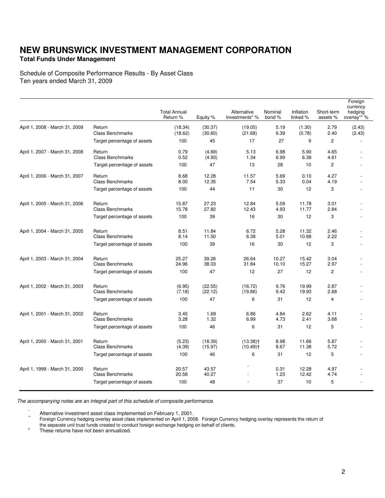### **Total Funds Under Management**

Schedule of Composite Performance Results - By Asset Class Ten years ended March 31, 2009

|                                |                                   |                                 |                    |                                                  |                   |                       |                        | Foreign<br>currency    |
|--------------------------------|-----------------------------------|---------------------------------|--------------------|--------------------------------------------------|-------------------|-----------------------|------------------------|------------------------|
|                                |                                   | <b>Total Annual</b><br>Return % | Equity %           | Alternative<br>Investments* %                    | Nominal<br>bond % | Inflation<br>linked % | Short-term<br>assets % | hedging<br>overlay** % |
| April 1, 2008 - March 31, 2009 | Return<br><b>Class Benchmarks</b> | (18.34)<br>(18.62)              | (30.37)<br>(30.60) | (19.05)<br>(21.68)                               | 5.19<br>6.39      | (1.30)<br>(0.78)      | 2.79<br>2.40           | (2.43)<br>(2.43)       |
|                                | Target percentage of assets       | 100                             | 45                 | 17                                               | 27                | 9                     | $\overline{c}$         |                        |
| April 1, 2007 - March 31, 2008 | Return<br><b>Class Benchmarks</b> | 0.79<br>0.52                    | (4.69)<br>(4.93)   | 5.13<br>1.34                                     | 6.98<br>6.99      | 5.90<br>6.38          | 4.65<br>4.61           |                        |
|                                | Target percentage of assets       | 100                             | 47                 | 13                                               | 28                | 10                    | $\overline{2}$         |                        |
| April 1, 2006 - March 31, 2007 | Return<br><b>Class Benchmarks</b> | 8.68<br>8.00                    | 12.28<br>12.35     | 11.57<br>7.54                                    | 5.69<br>5.33      | 0.10<br>0.04          | 4.27<br>4.19           |                        |
|                                | Target percentage of assets       | 100                             | 44                 | 11                                               | 30                | 12                    | 3                      |                        |
| April 1, 2005 - March 31, 2006 | Return<br><b>Class Benchmarks</b> | 15.87<br>15.78                  | 27.23<br>27.82     | 12.84<br>12.43                                   | 5.09<br>4.93      | 11.78<br>11.77        | 3.01<br>2.84           |                        |
|                                | Target percentage of assets       | 100                             | 39                 | 16                                               | 30                | 12                    | 3                      |                        |
| April 1, 2004 - March 31, 2005 | Return<br><b>Class Benchmarks</b> | 8.51<br>8.14                    | 11.84<br>11.50     | 6.72<br>6.38                                     | 5.28<br>5.01      | 11.32<br>10.68        | 2.46<br>2.22           |                        |
|                                | Target percentage of assets       | 100                             | 39                 | 16                                               | 30                | 12                    | 3                      |                        |
| April 1, 2003 - March 31, 2004 | Return<br><b>Class Benchmarks</b> | 25.27<br>24.96                  | 39.26<br>38.03     | 26.64<br>31.84                                   | 10.27<br>10.10    | 15.42<br>15.27        | 3.04<br>2.97           |                        |
|                                | Target percentage of assets       | 100                             | 47                 | 12                                               | 27                | 12                    | $\overline{c}$         |                        |
| April 1, 2002 - March 31, 2003 | Return<br><b>Class Benchmarks</b> | (6.95)<br>(7.18)                | (22.55)<br>(22.12) | (16.72)<br>(19.86)                               | 9.76<br>9.42      | 19.99<br>19.93        | 2.87<br>2.68           |                        |
|                                | Target percentage of assets       | 100                             | 47                 | 6                                                | 31                | 12                    | 4                      |                        |
| April 1, 2001 - March 31, 2002 | Return<br><b>Class Benchmarks</b> | 3.45<br>3.28                    | 1.69<br>1.32       | 6.86<br>6.99                                     | 4.84<br>4.73      | 2.62<br>2.41          | 4.11<br>3.68           |                        |
|                                | Target percentage of assets       | 100                             | 46                 | 6                                                | 31                | 12                    | 5                      |                        |
| April 1, 2000 - March 31, 2001 | Return<br><b>Class Benchmarks</b> | (5.23)<br>(4.39)                | (18.39)<br>(15.97) | $(13.38)$ <sup>+</sup><br>$(10.49)$ <sup>+</sup> | 8.98<br>8.67      | 11.66<br>11.38        | 5.87<br>5.72           |                        |
|                                | Target percentage of assets       | 100                             | 46                 | 6                                                | 31                | 12                    | 5                      |                        |
| April 1, 1999 - March 31, 2000 | Return<br><b>Class Benchmarks</b> | 20.57<br>20.58                  | 43.57<br>40.27     |                                                  | 0.31<br>1.23      | 12.28<br>12.42        | 4.97<br>4.74           |                        |
|                                | Target percentage of assets       | 100                             | 48                 |                                                  | 37                | 10                    | 5                      |                        |

The accompanying notes are an integral part of this schedule of composite performance.

Alternative investment asset class implemented on February 1, 2001.

Foreign Currency hedging overlay asset class implemented on April 1, 2008. Foreign Currency hedging overlay represents the return of the separate unit trust funds created to conduct foreign exchange hedging on behalf of clients.

† These returns have not been annualized.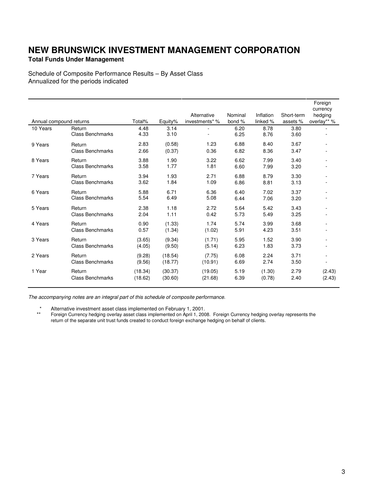### **Total Funds Under Management**

Schedule of Composite Performance Results – By Asset Class Annualized for the periods indicated

| Annual compound returns |                         | Total%  | Equity% | Alternative<br>investments* % | Nominal<br>bond % | Inflation<br>linked % | Short-term<br>assets % | Foreign<br>currency<br>hedging<br>overlay** % |
|-------------------------|-------------------------|---------|---------|-------------------------------|-------------------|-----------------------|------------------------|-----------------------------------------------|
|                         |                         |         |         |                               |                   |                       |                        |                                               |
| 10 Years                | Return                  | 4.48    | 3.14    |                               | 6.20              | 8.78                  | 3.80                   |                                               |
|                         | <b>Class Benchmarks</b> | 4.33    | 3.10    |                               | 6.25              | 8.76                  | 3.60                   |                                               |
| 9 Years                 | Return                  | 2.83    | (0.58)  | 1.23                          | 6.88              | 8.40                  | 3.67                   |                                               |
|                         | <b>Class Benchmarks</b> | 2.66    | (0.37)  | 0.36                          | 6.82              | 8.36                  | 3.47                   |                                               |
| 8 Years                 | Return                  | 3.88    | 1.90    | 3.22                          | 6.62              | 7.99                  | 3.40                   |                                               |
|                         | <b>Class Benchmarks</b> | 3.58    | 1.77    | 1.81                          | 6.60              | 7.99                  | 3.20                   |                                               |
| 7 Years                 | Return                  | 3.94    | 1.93    | 2.71                          | 6.88              | 8.79                  | 3.30                   |                                               |
|                         | <b>Class Benchmarks</b> | 3.62    | 1.84    | 1.09                          | 6.86              | 8.81                  | 3.13                   |                                               |
| 6 Years                 | Return                  | 5.88    | 6.71    | 6.36                          | 6.40              | 7.02                  | 3.37                   |                                               |
|                         | <b>Class Benchmarks</b> | 5.54    | 6.49    | 5.08                          | 6.44              | 7.06                  | 3.20                   |                                               |
| 5 Years                 | Return                  | 2.38    | 1.18    | 2.72                          | 5.64              | 5.42                  | 3.43                   |                                               |
|                         | <b>Class Benchmarks</b> | 2.04    | 1.11    | 0.42                          | 5.73              | 5.49                  | 3.25                   |                                               |
| 4 Years                 | Return                  | 0.90    | (1.33)  | 1.74                          | 5.74              | 3.99                  | 3.68                   |                                               |
|                         | <b>Class Benchmarks</b> | 0.57    | (1.34)  | (1.02)                        | 5.91              | 4.23                  | 3.51                   |                                               |
| 3 Years                 | Return                  | (3.65)  | (9.34)  | (1.71)                        | 5.95              | 1.52                  | 3.90                   |                                               |
|                         | <b>Class Benchmarks</b> | (4.05)  | (9.50)  | (5.14)                        | 6.23              | 1.83                  | 3.73                   |                                               |
| 2 Years                 | Return                  | (9.28)  | (18.54) | (7.75)                        | 6.08              | 2.24                  | 3.71                   |                                               |
|                         | <b>Class Benchmarks</b> | (9.56)  | (18.77) | (10.91)                       | 6.69              | 2.74                  | 3.50                   | $\qquad \qquad \blacksquare$                  |
| 1 Year                  | Return                  | (18.34) | (30.37) | (19.05)                       | 5.19              | (1.30)                | 2.79                   | (2.43)                                        |
|                         | <b>Class Benchmarks</b> | (18.62) | (30.60) | (21.68)                       | 6.39              | (0.78)                | 2.40                   | (2.43)                                        |

The accompanying notes are an integral part of this schedule of composite performance.

\* Alternative investment asset class implemented on February 1, 2001.

 \*\* Foreign Currency hedging overlay asset class implemented on April 1, 2008. Foreign Currency hedging overlay represents the return of the separate unit trust funds created to conduct foreign exchange hedging on behalf of clients.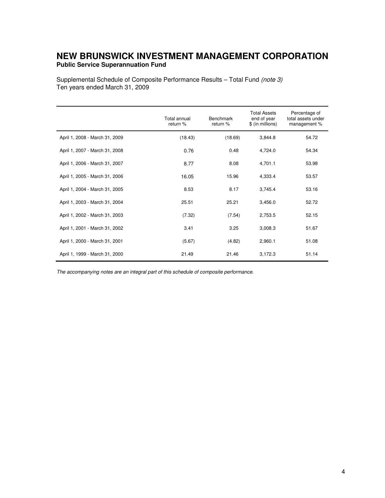## **NEW BRUNSWICK INVESTMENT MANAGEMENT CORPORATION Public Service Superannuation Fund**

Supplemental Schedule of Composite Performance Results – Total Fund (note 3) Ten years ended March 31, 2009

|                                | Total annual<br>return % | Benchmark<br>return % | <b>Total Assets</b><br>end of year<br>\$ (in millions) | Percentage of<br>total assets under<br>management % |
|--------------------------------|--------------------------|-----------------------|--------------------------------------------------------|-----------------------------------------------------|
| April 1, 2008 - March 31, 2009 | (18.43)                  | (18.69)               | 3,844.8                                                | 54.72                                               |
| April 1, 2007 - March 31, 2008 | 0.76                     | 0.48                  | 4,724.0                                                | 54.34                                               |
| April 1, 2006 - March 31, 2007 | 8.77                     | 8.08                  | 4,701.1                                                | 53.98                                               |
| April 1, 2005 - March 31, 2006 | 16.05                    | 15.96                 | 4,333.4                                                | 53.57                                               |
| April 1, 2004 - March 31, 2005 | 8.53                     | 8.17                  | 3,745.4                                                | 53.16                                               |
| April 1, 2003 - March 31, 2004 | 25.51                    | 25.21                 | 3,456.0                                                | 52.72                                               |
| April 1, 2002 - March 31, 2003 | (7.32)                   | (7.54)                | 2,753.5                                                | 52.15                                               |
| April 1, 2001 - March 31, 2002 | 3.41                     | 3.25                  | 3,008.3                                                | 51.67                                               |
| April 1, 2000 - March 31, 2001 | (5.67)                   | (4.82)                | 2,960.1                                                | 51.08                                               |
| April 1, 1999 - March 31, 2000 | 21.49                    | 21.46                 | 3,172.3                                                | 51.14                                               |

The accompanying notes are an integral part of this schedule of composite performance.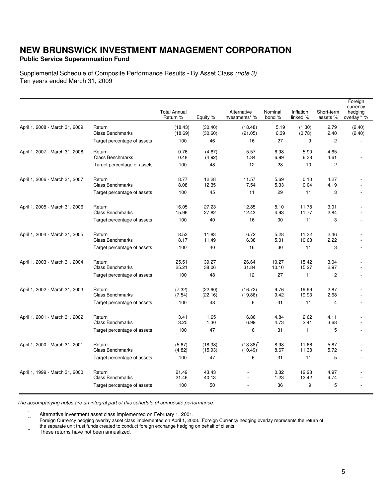### **Public Service Superannuation Fund**

Supplemental Schedule of Composite Performance Results - By Asset Class (note 3) Ten years ended March 31, 2009

|                                |                                   |                                 |                    |                                      |                   |                       |                        | Foreign                            |
|--------------------------------|-----------------------------------|---------------------------------|--------------------|--------------------------------------|-------------------|-----------------------|------------------------|------------------------------------|
|                                |                                   | <b>Total Annual</b><br>Return % | Equity %           | Alternative<br>Investments* %        | Nominal<br>bond % | Inflation<br>linked % | Short-term<br>assets % | currency<br>hedging<br>overlay** % |
| April 1, 2008 - March 31, 2009 | Return<br><b>Class Benchmarks</b> | (18.43)<br>(18.69)              | (30.40)<br>(30.60) | (18.48)<br>(21.05)                   | 5.19<br>6.39      | (1.30)<br>(0.78)      | 2.79<br>2.40           | (2.40)<br>(2.40)                   |
|                                | Target percentage of assets       | 100                             | 46                 | 16                                   | 27                | 9                     | $\overline{2}$         |                                    |
| April 1, 2007 - March 31, 2008 | Return<br><b>Class Benchmarks</b> | 0.76<br>0.48                    | (4.67)<br>(4.92)   | 5.57<br>1.34                         | 6.98<br>6.99      | 5.90<br>6.38          | 4.65<br>4.61           |                                    |
|                                | Target percentage of assets       | 100                             | 48                 | 12                                   | 28                | 10                    | $\overline{2}$         |                                    |
| April 1, 2006 - March 31, 2007 | Return<br><b>Class Benchmarks</b> | 8.77<br>8.08                    | 12.28<br>12.35     | 11.57<br>7.54                        | 5.69<br>5.33      | 0.10<br>0.04          | 4.27<br>4.19           |                                    |
|                                | Target percentage of assets       | 100                             | 45                 | 11                                   | 29                | 11                    | 3                      |                                    |
| April 1, 2005 - March 31, 2006 | Return<br><b>Class Benchmarks</b> | 16.05<br>15.96                  | 27.23<br>27.82     | 12.85<br>12.43                       | 5.10<br>4.93      | 11.78<br>11.77        | 3.01<br>2.84           |                                    |
|                                | Target percentage of assets       | 100                             | 40                 | 16                                   | 30                | 11                    | 3                      |                                    |
| April 1, 2004 - March 31, 2005 | Return<br><b>Class Benchmarks</b> | 8.53<br>8.17                    | 11.83<br>11.49     | 6.72<br>6.38                         | 5.28<br>5.01      | 11.32<br>10.68        | 2.46<br>2.22           |                                    |
|                                | Target percentage of assets       | 100                             | 40                 | 16                                   | 30                | 11                    | 3                      |                                    |
| April 1, 2003 - March 31, 2004 | Return<br><b>Class Benchmarks</b> | 25.51<br>25.21                  | 39.27<br>38.06     | 26.64<br>31.84                       | 10.27<br>10.10    | 15.42<br>15.27        | 3.04<br>2.97           |                                    |
|                                | Target percentage of assets       | 100                             | 48                 | 12                                   | 27                | 11                    | $\overline{c}$         |                                    |
| April 1, 2002 - March 31, 2003 | Return<br><b>Class Benchmarks</b> | (7.32)<br>(7.54)                | (22.60)<br>(22.16) | (16.72)<br>(19.86)                   | 9.76<br>9.42      | 19.99<br>19.93        | 2.87<br>2.68           |                                    |
|                                | Target percentage of assets       | 100                             | 48                 | 6                                    | 31                | 11                    | 4                      |                                    |
| April 1, 2001 - March 31, 2002 | Return<br><b>Class Benchmarks</b> | 3.41<br>3.25                    | 1.65<br>1.30       | 6.86<br>6.99                         | 4.84<br>4.73      | 2.62<br>2.41          | 4.11<br>3.68           |                                    |
|                                | Target percentage of assets       | 100                             | 47                 | 6                                    | 31                | 11                    | 5                      |                                    |
| April 1, 2000 - March 31, 2001 | Return<br><b>Class Benchmarks</b> | (5.67)<br>(4.82)                | (18.38)<br>(15.93) | $(13.38)^{T}$<br>$(10.49)^{\dagger}$ | 8.98<br>8.67      | 11.66<br>11.38        | 5.87<br>5.72           |                                    |
|                                | Target percentage of assets       | 100                             | 47                 | 6                                    | 31                | 11                    | 5                      |                                    |
| April 1, 1999 - March 31, 2000 | Return<br><b>Class Benchmarks</b> | 21.49<br>21.46                  | 43.43<br>40.13     |                                      | 0.32<br>1.23      | 12.28<br>12.42        | 4.97<br>4.74           |                                    |
|                                | Target percentage of assets       | 100                             | 50                 |                                      | 36                | 9                     | 5                      |                                    |

The accompanying notes are an integral part of this schedule of composite performance.

 $\frac{1}{10}$  Alternative investment asset class implemented on February 1, 2001.

\*\* Foreign Currency hedging overlay asset class implemented on April 1, 2008. Foreign Currency hedging overlay represents the return of

the separate unit trust funds created to conduct foreign exchange hedging on behalf of clients.

† These returns have not been annualized.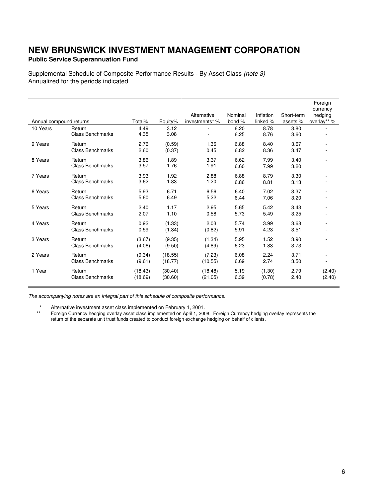## **Public Service Superannuation Fund**

Supplemental Schedule of Composite Performance Results - By Asset Class (note 3) Annualized for the periods indicated

|                         |                         |         |         |                |         |           |            | Foreign                |
|-------------------------|-------------------------|---------|---------|----------------|---------|-----------|------------|------------------------|
|                         |                         |         |         | Alternative    | Nominal | Inflation | Short-term | currency               |
| Annual compound returns |                         | Total%  | Equity% | investments* % | bond %  | linked %  | assets %   | hedging<br>overlay** % |
| 10 Years                | Return                  | 4.49    | 3.12    |                | 6.20    | 8.78      | 3.80       |                        |
|                         | <b>Class Benchmarks</b> | 4.35    | 3.08    |                | 6.25    | 8.76      | 3.60       |                        |
|                         |                         |         |         |                |         |           |            |                        |
| 9 Years                 | Return                  | 2.76    | (0.59)  | 1.36           | 6.88    | 8.40      | 3.67       |                        |
|                         | <b>Class Benchmarks</b> | 2.60    | (0.37)  | 0.45           | 6.82    | 8.36      | 3.47       |                        |
| 8 Years                 | Return                  | 3.86    | 1.89    | 3.37           | 6.62    | 7.99      | 3.40       |                        |
|                         | <b>Class Benchmarks</b> | 3.57    | 1.76    | 1.91           | 6.60    | 7.99      | 3.20       |                        |
|                         |                         |         |         |                |         |           |            |                        |
| 7 Years                 | Return                  | 3.93    | 1.92    | 2.88           | 6.88    | 8.79      | 3.30       |                        |
|                         | <b>Class Benchmarks</b> | 3.62    | 1.83    | 1.20           | 6.86    | 8.81      | 3.13       |                        |
| 6 Years                 | Return                  | 5.93    | 6.71    | 6.56           | 6.40    | 7.02      | 3.37       |                        |
|                         | <b>Class Benchmarks</b> | 5.60    | 6.49    | 5.22           | 6.44    | 7.06      | 3.20       |                        |
| 5 Years                 | Return                  | 2.40    | 1.17    | 2.95           | 5.65    | 5.42      | 3.43       |                        |
|                         | <b>Class Benchmarks</b> | 2.07    | 1.10    | 0.58           | 5.73    | 5.49      | 3.25       |                        |
|                         |                         |         |         |                |         |           |            |                        |
| 4 Years                 | Return                  | 0.92    | (1.33)  | 2.03           | 5.74    | 3.99      | 3.68       |                        |
|                         | <b>Class Benchmarks</b> | 0.59    | (1.34)  | (0.82)         | 5.91    | 4.23      | 3.51       |                        |
| 3 Years                 | Return                  | (3.67)  | (9.35)  | (1.34)         | 5.95    | 1.52      | 3.90       |                        |
|                         | <b>Class Benchmarks</b> | (4.06)  | (9.50)  | (4.89)         | 6.23    | 1.83      | 3.73       |                        |
|                         |                         |         |         |                |         |           |            |                        |
| 2 Years                 | Return                  | (9.34)  | (18.55) | (7.23)         | 6.08    | 2.24      | 3.71       |                        |
|                         | <b>Class Benchmarks</b> | (9.61)  | (18.77) | (10.55)        | 6.69    | 2.74      | 3.50       |                        |
| 1 Year                  | Return                  | (18.43) | (30.40) | (18.48)        | 5.19    | (1.30)    | 2.79       | (2.40)                 |
|                         | <b>Class Benchmarks</b> | (18.69) | (30.60) | (21.05)        | 6.39    | (0.78)    | 2.40       | (2.40)                 |
|                         |                         |         |         |                |         |           |            |                        |

The accompanying notes are an integral part of this schedule of composite performance.

\* Alternative investment asset class implemented on February 1, 2001.<br>\*\* Foreign Currency hedging overlay asset class implemented on April 1, 200

 \*\* Foreign Currency hedging overlay asset class implemented on April 1, 2008. Foreign Currency hedging overlay represents the return of the separate unit trust funds created to conduct foreign exchange hedging on behalf of clients.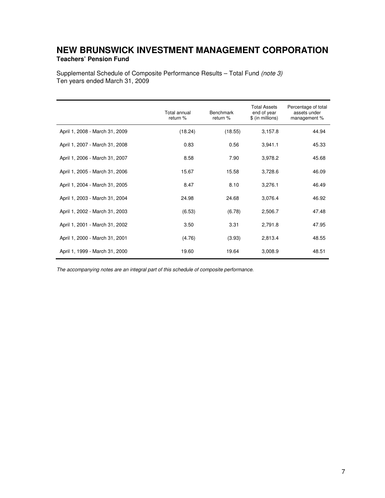## **NEW BRUNSWICK INVESTMENT MANAGEMENT CORPORATION Teachers' Pension Fund**

Supplemental Schedule of Composite Performance Results – Total Fund (note 3) Ten years ended March 31, 2009

|                                | Total annual<br>return % | <b>Benchmark</b><br>return % | <b>Total Assets</b><br>end of year<br>\$ (in millions) | Percentage of total<br>assets under<br>management % |
|--------------------------------|--------------------------|------------------------------|--------------------------------------------------------|-----------------------------------------------------|
| April 1, 2008 - March 31, 2009 | (18.24)                  | (18.55)                      | 3,157.8                                                | 44.94                                               |
| April 1, 2007 - March 31, 2008 | 0.83                     | 0.56                         | 3,941.1                                                | 45.33                                               |
| April 1, 2006 - March 31, 2007 | 8.58                     | 7.90                         | 3,978.2                                                | 45.68                                               |
| April 1, 2005 - March 31, 2006 | 15.67                    | 15.58                        | 3,728.6                                                | 46.09                                               |
| April 1, 2004 - March 31, 2005 | 8.47                     | 8.10                         | 3,276.1                                                | 46.49                                               |
| April 1, 2003 - March 31, 2004 | 24.98                    | 24.68                        | 3,076.4                                                | 46.92                                               |
| April 1, 2002 - March 31, 2003 | (6.53)                   | (6.78)                       | 2,506.7                                                | 47.48                                               |
| April 1, 2001 - March 31, 2002 | 3.50                     | 3.31                         | 2,791.8                                                | 47.95                                               |
| April 1, 2000 - March 31, 2001 | (4.76)                   | (3.93)                       | 2,813.4                                                | 48.55                                               |
| April 1, 1999 - March 31, 2000 | 19.60                    | 19.64                        | 3,008.9                                                | 48.51                                               |

The accompanying notes are an integral part of this schedule of composite performance.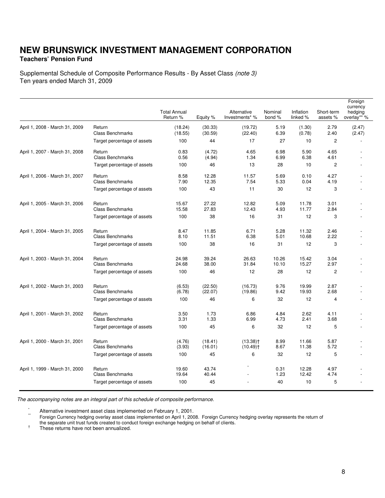## **NEW BRUNSWICK INVESTMENT MANAGEMENT CORPORATION Teachers' Pension Fund**

Supplemental Schedule of Composite Performance Results - By Asset Class (note 3) Ten years ended March 31, 2009

|                                |                                   | <b>Total Annual</b><br>Return % | Equity %           | Alternative<br>Investments* %                    | Nominal<br>bond % | Inflation<br>linked % | Short-term<br>assets % | Foreign<br>currency<br>hedging<br>overlay** % |
|--------------------------------|-----------------------------------|---------------------------------|--------------------|--------------------------------------------------|-------------------|-----------------------|------------------------|-----------------------------------------------|
| April 1, 2008 - March 31, 2009 | Return<br><b>Class Benchmarks</b> | (18.24)<br>(18.55)              | (30.33)<br>(30.59) | (19.72)<br>(22.40)                               | 5.19<br>6.39      | (1.30)<br>(0.78)      | 2.79<br>2.40           | (2.47)<br>(2.47)                              |
|                                | Target percentage of assets       | 100                             | 44                 | 17                                               | 27                | 10                    | 2                      |                                               |
| April 1, 2007 - March 31, 2008 | Return<br><b>Class Benchmarks</b> | 0.83<br>0.56                    | (4.72)<br>(4.94)   | 4.65<br>1.34                                     | 6.98<br>6.99      | 5.90<br>6.38          | 4.65<br>4.61           |                                               |
|                                | Target percentage of assets       | 100                             | 46                 | 13                                               | 28                | 10                    | $\mathbf{2}$           |                                               |
| April 1, 2006 - March 31, 2007 | Return<br><b>Class Benchmarks</b> | 8.58<br>7.90                    | 12.28<br>12.35     | 11.57<br>7.54                                    | 5.69<br>5.33      | 0.10<br>0.04          | 4.27<br>4.19           |                                               |
|                                | Target percentage of assets       | 100                             | 43                 | 11                                               | 30                | 12                    | 3                      |                                               |
| April 1, 2005 - March 31, 2006 | Return<br><b>Class Benchmarks</b> | 15.67<br>15.58                  | 27.22<br>27.83     | 12.82<br>12.43                                   | 5.09<br>4.93      | 11.78<br>11.77        | 3.01<br>2.84           |                                               |
|                                | Target percentage of assets       | 100                             | 38                 | 16                                               | 31                | 12                    | 3                      |                                               |
| April 1, 2004 - March 31, 2005 | Return<br><b>Class Benchmarks</b> | 8.47<br>8.10                    | 11.85<br>11.51     | 6.71<br>6.38                                     | 5.28<br>5.01      | 11.32<br>10.68        | 2.46<br>2.22           |                                               |
|                                | Target percentage of assets       | 100                             | 38                 | 16                                               | 31                | 12                    | 3                      |                                               |
| April 1, 2003 - March 31, 2004 | Return<br><b>Class Benchmarks</b> | 24.98<br>24.68                  | 39.24<br>38.00     | 26.63<br>31.84                                   | 10.26<br>10.10    | 15.42<br>15.27        | 3.04<br>2.97           |                                               |
|                                | Target percentage of assets       | 100                             | 46                 | 12                                               | 28                | 12                    | $\overline{2}$         |                                               |
| April 1, 2002 - March 31, 2003 | Return<br><b>Class Benchmarks</b> | (6.53)<br>(6.78)                | (22.50)<br>(22.07) | (16.73)<br>(19.86)                               | 9.76<br>9.42      | 19.99<br>19.93        | 2.87<br>2.68           |                                               |
|                                | Target percentage of assets       | 100                             | 46                 | 6                                                | 32                | 12                    | $\overline{4}$         |                                               |
| April 1, 2001 - March 31, 2002 | Return<br><b>Class Benchmarks</b> | 3.50<br>3.31                    | 1.73<br>1.33       | 6.86<br>6.99                                     | 4.84<br>4.73      | 2.62<br>2.41          | 4.11<br>3.68           |                                               |
|                                | Target percentage of assets       | 100                             | 45                 | 6                                                | 32                | 12                    | 5                      |                                               |
| April 1, 2000 - March 31, 2001 | Return<br><b>Class Benchmarks</b> | (4.76)<br>(3.93)                | (18.41)<br>(16.01) | $(13.38)$ <sup>+</sup><br>$(10.49)$ <sup>+</sup> | 8.99<br>8.67      | 11.66<br>11.38        | 5.87<br>5.72           |                                               |
|                                | Target percentage of assets       | 100                             | 45                 | 6                                                | 32                | 12                    | 5                      |                                               |
| April 1, 1999 - March 31, 2000 | Return<br><b>Class Benchmarks</b> | 19.60<br>19.64                  | 43.74<br>40.44     |                                                  | 0.31<br>1.23      | 12.28<br>12.42        | 4.97<br>4.74           |                                               |
|                                | Target percentage of assets       | 100                             | 45                 |                                                  | 40                | 10                    | 5                      |                                               |

The accompanying notes are an integral part of this schedule of composite performance.

 $\cdot$  Alternative investment asset class implemented on February 1, 2001.

\*\* Foreign Currency hedging overlay asset class implemented on April 1, 2008. Foreign Currency hedging overlay represents the return of the separate unit trust funds created to conduct foreign exchange hedging on behalf of clients.

† These returns have not been annualized.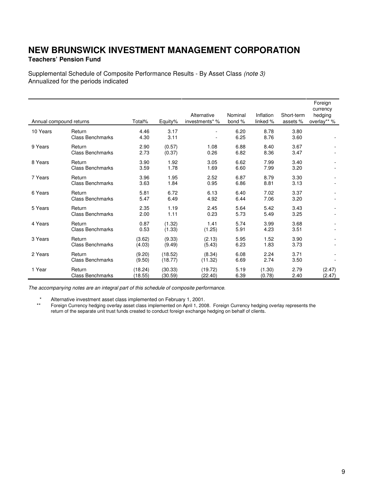### **Teachers' Pension Fund**

Supplemental Schedule of Composite Performance Results - By Asset Class (note 3) Annualized for the periods indicated

|                         |                         |         |         |                |         |           |            | Foreign<br>currency |
|-------------------------|-------------------------|---------|---------|----------------|---------|-----------|------------|---------------------|
|                         |                         |         |         | Alternative    | Nominal | Inflation | Short-term | hedging             |
| Annual compound returns |                         | Total%  | Equity% | investments* % | bond %  | linked %  | assets %   | overlay** %         |
| 10 Years                | Return                  | 4.46    | 3.17    |                | 6.20    | 8.78      | 3.80       |                     |
|                         | <b>Class Benchmarks</b> | 4.30    | 3.11    |                | 6.25    | 8.76      | 3.60       |                     |
| 9 Years                 | Return                  | 2.90    | (0.57)  | 1.08           | 6.88    | 8.40      | 3.67       |                     |
|                         | <b>Class Benchmarks</b> | 2.73    | (0.37)  | 0.26           | 6.82    | 8.36      | 3.47       |                     |
| 8 Years                 | Return                  | 3.90    | 1.92    | 3.05           | 6.62    | 7.99      | 3.40       |                     |
|                         | <b>Class Benchmarks</b> | 3.59    | 1.78    | 1.69           | 6.60    | 7.99      | 3.20       |                     |
| 7 Years                 | Return                  | 3.96    | 1.95    | 2.52           | 6.87    | 8.79      | 3.30       |                     |
|                         | <b>Class Benchmarks</b> | 3.63    | 1.84    | 0.95           | 6.86    | 8.81      | 3.13       |                     |
| 6 Years                 | Return                  | 5.81    | 6.72    | 6.13           | 6.40    | 7.02      | 3.37       |                     |
|                         | <b>Class Benchmarks</b> | 5.47    | 6.49    | 4.92           | 6.44    | 7.06      | 3.20       |                     |
| 5 Years                 | Return                  | 2.35    | 1.19    | 2.45           | 5.64    | 5.42      | 3.43       |                     |
|                         | <b>Class Benchmarks</b> | 2.00    | 1.11    | 0.23           | 5.73    | 5.49      | 3.25       |                     |
| 4 Years                 | Return                  | 0.87    | (1.32)  | 1.41           | 5.74    | 3.99      | 3.68       |                     |
|                         | <b>Class Benchmarks</b> | 0.53    | (1.33)  | (1.25)         | 5.91    | 4.23      | 3.51       |                     |
| 3 Years                 | Return                  | (3.62)  | (9.33)  | (2.13)         | 5.95    | 1.52      | 3.90       |                     |
|                         | <b>Class Benchmarks</b> | (4.03)  | (9.49)  | (5.43)         | 6.23    | 1.83      | 3.73       |                     |
| 2 Years                 | Return                  | (9.20)  | (18.52) | (8.34)         | 6.08    | 2.24      | 3.71       |                     |
|                         | <b>Class Benchmarks</b> | (9.50)  | (18.77) | (11.32)        | 6.69    | 2.74      | 3.50       |                     |
| 1 Year                  | Return                  | (18.24) | (30.33) | (19.72)        | 5.19    | (1.30)    | 2.79       | (2.47)              |
|                         | <b>Class Benchmarks</b> | (18.55) | (30.59) | (22.40)        | 6.39    | (0.78)    | 2.40       | (2.47)              |

The accompanying notes are an integral part of this schedule of composite performance.

\* Alternative investment asset class implemented on February 1, 2001.

 \*\* Foreign Currency hedging overlay asset class implemented on April 1, 2008. Foreign Currency hedging overlay represents the return of the separate unit trust funds created to conduct foreign exchange hedging on behalf of clients.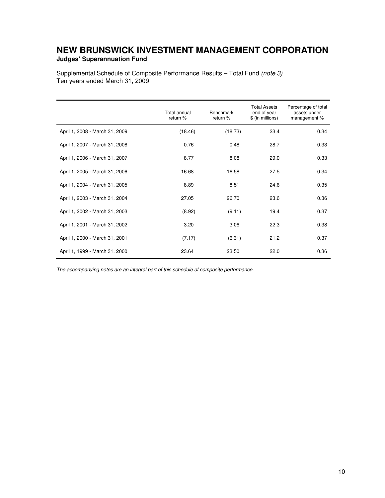## **NEW BRUNSWICK INVESTMENT MANAGEMENT CORPORATION Judges' Superannuation Fund**

Supplemental Schedule of Composite Performance Results – Total Fund (note 3) Ten years ended March 31, 2009

|                                | Total annual<br>return % | <b>Benchmark</b><br>return % | <b>Total Assets</b><br>end of year<br>\$ (in millions) | Percentage of total<br>assets under<br>management % |
|--------------------------------|--------------------------|------------------------------|--------------------------------------------------------|-----------------------------------------------------|
| April 1, 2008 - March 31, 2009 | (18.46)                  | (18.73)                      | 23.4                                                   | 0.34                                                |
| April 1, 2007 - March 31, 2008 | 0.76                     | 0.48                         | 28.7                                                   | 0.33                                                |
| April 1, 2006 - March 31, 2007 | 8.77                     | 8.08                         | 29.0                                                   | 0.33                                                |
| April 1, 2005 - March 31, 2006 | 16.68                    | 16.58                        | 27.5                                                   | 0.34                                                |
| April 1, 2004 - March 31, 2005 | 8.89                     | 8.51                         | 24.6                                                   | 0.35                                                |
| April 1, 2003 - March 31, 2004 | 27.05                    | 26.70                        | 23.6                                                   | 0.36                                                |
| April 1, 2002 - March 31, 2003 | (8.92)                   | (9.11)                       | 19.4                                                   | 0.37                                                |
| April 1, 2001 - March 31, 2002 | 3.20                     | 3.06                         | 22.3                                                   | 0.38                                                |
| April 1, 2000 - March 31, 2001 | (7.17)                   | (6.31)                       | 21.2                                                   | 0.37                                                |
| April 1, 1999 - March 31, 2000 | 23.64                    | 23.50                        | 22.0                                                   | 0.36                                                |

The accompanying notes are an integral part of this schedule of composite performance.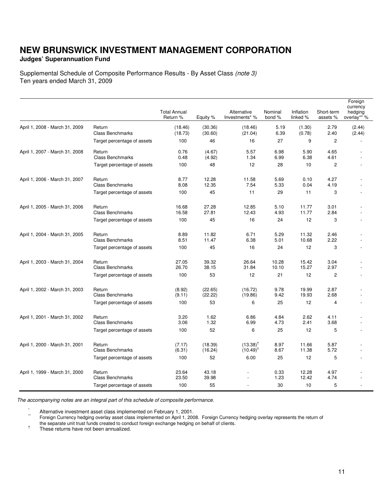### **Judges' Superannuation Fund**

Supplemental Schedule of Composite Performance Results - By Asset Class (note 3) Ten years ended March 31, 2009

|                                |                                   |                                 |                    |                                |                   |                       |                        | Foreign<br>currency    |
|--------------------------------|-----------------------------------|---------------------------------|--------------------|--------------------------------|-------------------|-----------------------|------------------------|------------------------|
|                                |                                   | <b>Total Annual</b><br>Return % | Equity %           | Alternative<br>Investments* %  | Nominal<br>bond % | Inflation<br>linked % | Short-term<br>assets % | hedging<br>overlay** % |
| April 1, 2008 - March 31, 2009 | Return<br><b>Class Benchmarks</b> | (18.46)<br>(18.73)              | (30.36)<br>(30.60) | (18.46)<br>(21.04)             | 5.19<br>6.39      | (1.30)<br>(0.78)      | 2.79<br>2.40           | (2.44)<br>(2.44)       |
|                                | Target percentage of assets       | 100                             | 46                 | 16                             | 27                | 9                     | $\overline{2}$         |                        |
| April 1, 2007 - March 31, 2008 | Return<br><b>Class Benchmarks</b> | 0.76<br>0.48                    | (4.67)<br>(4.92)   | 5.57<br>1.34                   | 6.98<br>6.99      | 5.90<br>6.38          | 4.65<br>4.61           |                        |
|                                | Target percentage of assets       | 100                             | 48                 | 12                             | 28                | 10                    | $\overline{2}$         |                        |
| April 1, 2006 - March 31, 2007 | Return<br><b>Class Benchmarks</b> | 8.77<br>8.08                    | 12.28<br>12.35     | 11.58<br>7.54                  | 5.69<br>5.33      | 0.10<br>0.04          | 4.27<br>4.19           |                        |
|                                | Target percentage of assets       | 100                             | 45                 | 11                             | 29                | 11                    | 3                      |                        |
| April 1, 2005 - March 31, 2006 | Return<br><b>Class Benchmarks</b> | 16.68<br>16.58                  | 27.28<br>27.81     | 12.85<br>12.43                 | 5.10<br>4.93      | 11.77<br>11.77        | 3.01<br>2.84           |                        |
|                                | Target percentage of assets       | 100                             | 45                 | 16                             | 24                | 12                    | 3                      |                        |
| April 1, 2004 - March 31, 2005 | Return<br><b>Class Benchmarks</b> | 8.89<br>8.51                    | 11.82<br>11.47     | 6.71<br>6.38                   | 5.29<br>5.01      | 11.32<br>10.68        | 2.46<br>2.22           |                        |
|                                | Target percentage of assets       | 100                             | 45                 | 16                             | 24                | 12                    | 3                      |                        |
| April 1, 2003 - March 31, 2004 | Return<br><b>Class Benchmarks</b> | 27.05<br>26.70                  | 39.32<br>38.15     | 26.64<br>31.84                 | 10.28<br>10.10    | 15.42<br>15.27        | 3.04<br>2.97           |                        |
|                                | Target percentage of assets       | 100                             | 53                 | 12                             | 21                | 12                    | $\overline{2}$         |                        |
| April 1, 2002 - March 31, 2003 | Return<br><b>Class Benchmarks</b> | (8.92)<br>(9.11)                | (22.65)<br>(22.22) | (16.72)<br>(19.86)             | 9.78<br>9.42      | 19.99<br>19.93        | 2.87<br>2.68           |                        |
|                                | Target percentage of assets       | 100                             | 53                 | 6                              | 25                | 12                    | 4                      |                        |
| April 1, 2001 - March 31, 2002 | Return<br><b>Class Benchmarks</b> | 3.20<br>3.06                    | 1.62<br>1.32       | 6.86<br>6.99                   | 4.84<br>4.73      | 2.62<br>2.41          | 4.11<br>3.68           |                        |
|                                | Target percentage of assets       | 100                             | 52                 | 6                              | 25                | 12                    | 5                      |                        |
| April 1, 2000 - March 31, 2001 | Return<br><b>Class Benchmarks</b> | (7.17)<br>(6.31)                | (18.39)<br>(16.24) | $(13.38)^{T}$<br>$(10.49)^{T}$ | 8.97<br>8.67      | 11.66<br>11.38        | 5.87<br>5.72           |                        |
|                                | Target percentage of assets       | 100                             | 52                 | 6.00                           | 25                | 12                    | 5                      |                        |
| April 1, 1999 - March 31, 2000 | Return<br><b>Class Benchmarks</b> | 23.64<br>23.50                  | 43.18<br>39.98     |                                | 0.33<br>1.23      | 12.28<br>12.42        | 4.97<br>4.74           |                        |
|                                | Target percentage of assets       | 100                             | 55                 |                                | 30                | 10                    | 5                      |                        |

The accompanying notes are an integral part of this schedule of composite performance.

\* Alternative investment asset class implemented on February 1, 2001.

Foreign Currency hedging overlay asset class implemented on April 1, 2008. Foreign Currency hedging overlay represents the return of the separate unit trust funds created to conduct foreign exchange hedging on behalf of clients.

† These returns have not been annualized.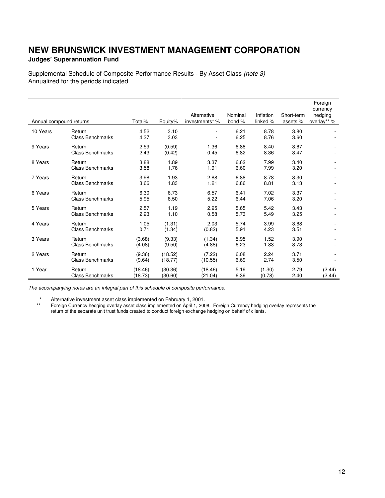## **Judges' Superannuation Fund**

Supplemental Schedule of Composite Performance Results - By Asset Class (note 3) Annualized for the periods indicated

|                         |                                   |                    |                    | Alternative        | Nominal      | Inflation        | Short-term   | Foreign<br>currency<br>hedging |
|-------------------------|-----------------------------------|--------------------|--------------------|--------------------|--------------|------------------|--------------|--------------------------------|
| Annual compound returns |                                   | Total%             | Equity%            | investments* %     | bond %       | linked %         | assets %     | overlay** %                    |
| 10 Years                | Return<br><b>Class Benchmarks</b> | 4.52<br>4.37       | 3.10<br>3.03       |                    | 6.21<br>6.25 | 8.78<br>8.76     | 3.80<br>3.60 |                                |
| 9 Years                 | Return<br><b>Class Benchmarks</b> | 2.59<br>2.43       | (0.59)<br>(0.42)   | 1.36<br>0.45       | 6.88<br>6.82 | 8.40<br>8.36     | 3.67<br>3.47 |                                |
| 8 Years                 | Return<br><b>Class Benchmarks</b> | 3.88<br>3.58       | 1.89<br>1.76       | 3.37<br>1.91       | 6.62<br>6.60 | 7.99<br>7.99     | 3.40<br>3.20 |                                |
| 7 Years                 | Return<br><b>Class Benchmarks</b> | 3.98<br>3.66       | 1.93<br>1.83       | 2.88<br>1.21       | 6.88<br>6.86 | 8.78<br>8.81     | 3.30<br>3.13 |                                |
| 6 Years                 | Return<br><b>Class Benchmarks</b> | 6.30<br>5.95       | 6.73<br>6.50       | 6.57<br>5.22       | 6.41<br>6.44 | 7.02<br>7.06     | 3.37<br>3.20 |                                |
| 5 Years                 | Return<br><b>Class Benchmarks</b> | 2.57<br>2.23       | 1.19<br>1.10       | 2.95<br>0.58       | 5.65<br>5.73 | 5.42<br>5.49     | 3.43<br>3.25 |                                |
| 4 Years                 | Return<br><b>Class Benchmarks</b> | 1.05<br>0.71       | (1.31)<br>(1.34)   | 2.03<br>(0.82)     | 5.74<br>5.91 | 3.99<br>4.23     | 3.68<br>3.51 |                                |
| 3 Years                 | Return<br><b>Class Benchmarks</b> | (3.68)<br>(4.08)   | (9.33)<br>(9.50)   | (1.34)<br>(4.88)   | 5.95<br>6.23 | 1.52<br>1.83     | 3.90<br>3.73 |                                |
| 2 Years                 | Return<br><b>Class Benchmarks</b> | (9.36)<br>(9.64)   | (18.52)<br>(18.77) | (7.22)<br>(10.55)  | 6.08<br>6.69 | 2.24<br>2.74     | 3.71<br>3.50 |                                |
| 1 Year                  | Return<br><b>Class Benchmarks</b> | (18.46)<br>(18.73) | (30.36)<br>(30.60) | (18.46)<br>(21.04) | 5.19<br>6.39 | (1.30)<br>(0.78) | 2.79<br>2.40 | (2.44)<br>(2.44)               |

The accompanying notes are an integral part of this schedule of composite performance.

\* Alternative investment asset class implemented on February 1, 2001.

 \*\* Foreign Currency hedging overlay asset class implemented on April 1, 2008. Foreign Currency hedging overlay represents the return of the separate unit trust funds created to conduct foreign exchange hedging on behalf of clients.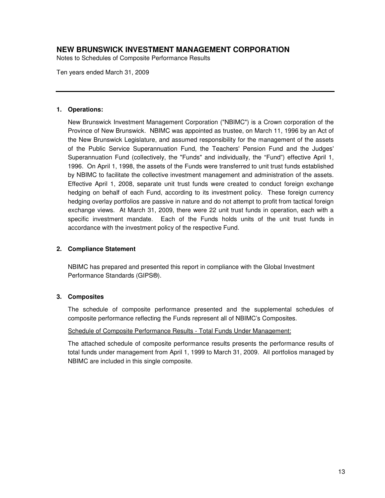Notes to Schedules of Composite Performance Results

Ten years ended March 31, 2009

#### **1. Operations:**

New Brunswick Investment Management Corporation ("NBIMC") is a Crown corporation of the Province of New Brunswick. NBIMC was appointed as trustee, on March 11, 1996 by an Act of the New Brunswick Legislature, and assumed responsibility for the management of the assets of the Public Service Superannuation Fund, the Teachers' Pension Fund and the Judges' Superannuation Fund (collectively, the "Funds" and individually, the "Fund") effective April 1, 1996. On April 1, 1998, the assets of the Funds were transferred to unit trust funds established by NBIMC to facilitate the collective investment management and administration of the assets. Effective April 1, 2008, separate unit trust funds were created to conduct foreign exchange hedging on behalf of each Fund, according to its investment policy. These foreign currency hedging overlay portfolios are passive in nature and do not attempt to profit from tactical foreign exchange views. At March 31, 2009, there were 22 unit trust funds in operation, each with a specific investment mandate. Each of the Funds holds units of the unit trust funds in accordance with the investment policy of the respective Fund.

#### **2. Compliance Statement**

 NBIMC has prepared and presented this report in compliance with the Global Investment Performance Standards (GIPS®).

#### **3. Composites**

The schedule of composite performance presented and the supplemental schedules of composite performance reflecting the Funds represent all of NBIMC's Composites.

#### Schedule of Composite Performance Results - Total Funds Under Management:

The attached schedule of composite performance results presents the performance results of total funds under management from April 1, 1999 to March 31, 2009. All portfolios managed by NBIMC are included in this single composite.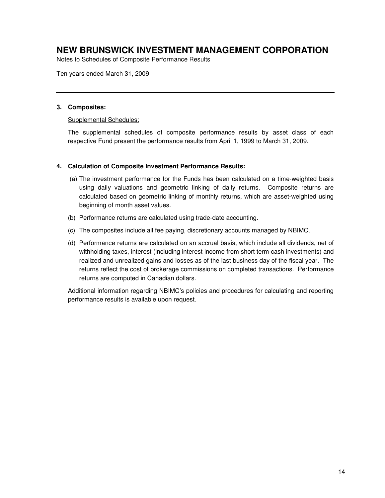Notes to Schedules of Composite Performance Results

Ten years ended March 31, 2009

#### **3. Composites:**

#### Supplemental Schedules:

The supplemental schedules of composite performance results by asset class of each respective Fund present the performance results from April 1, 1999 to March 31, 2009.

#### **4. Calculation of Composite Investment Performance Results:**

- (a) The investment performance for the Funds has been calculated on a time-weighted basis using daily valuations and geometric linking of daily returns. Composite returns are calculated based on geometric linking of monthly returns, which are asset-weighted using beginning of month asset values.
- (b) Performance returns are calculated using trade-date accounting.
- (c) The composites include all fee paying, discretionary accounts managed by NBIMC.
- (d) Performance returns are calculated on an accrual basis, which include all dividends, net of withholding taxes, interest (including interest income from short term cash investments) and realized and unrealized gains and losses as of the last business day of the fiscal year. The returns reflect the cost of brokerage commissions on completed transactions. Performance returns are computed in Canadian dollars.

Additional information regarding NBIMC's policies and procedures for calculating and reporting performance results is available upon request.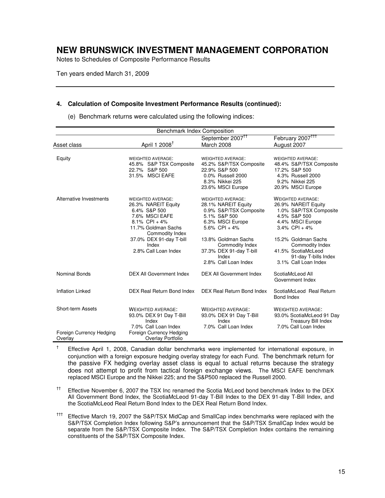Notes to Schedules of Composite Performance Results

Ten years ended March 31, 2009

#### **4. Calculation of Composite Investment Performance Results (continued):**

| Benchmark Index Composition         |                                                                                                                                                                                                             |                                                                                                                                                                                                                                      |                                                                                                                                                                                                                                                   |  |  |
|-------------------------------------|-------------------------------------------------------------------------------------------------------------------------------------------------------------------------------------------------------------|--------------------------------------------------------------------------------------------------------------------------------------------------------------------------------------------------------------------------------------|---------------------------------------------------------------------------------------------------------------------------------------------------------------------------------------------------------------------------------------------------|--|--|
| Asset class                         | April 1 2008 <sup>†</sup>                                                                                                                                                                                   | September 2007 <sup>11</sup><br>March 2008                                                                                                                                                                                           | February 2007 <sup>TTT</sup><br>August 2007                                                                                                                                                                                                       |  |  |
| Equity                              | <b>WEIGHTED AVERAGE:</b><br>45.8% S&P TSX Composite<br>22.7% S&P 500<br>31.5% MSCI EAFE                                                                                                                     | <b>WEIGHTED AVERAGE:</b><br>45.2% S&P/TSX Composite<br>22.9% S&P 500<br>0.0% Russell 2000<br>8.3% Nikkei 225<br>23.6% MSCI Europe                                                                                                    | <b>WEIGHTED AVERAGE:</b><br>48.4% S&P/TSX Composite<br>17.2% S&P 500<br>4.3% Russell 2000<br>9.2% Nikkei 225<br>20.9% MSCI Europe                                                                                                                 |  |  |
| Alternative Investments             | <b>WEIGHTED AVERAGE:</b><br>26.3% NAREIT Equity<br>6.4% S&P 500<br>7.6% MSCI EAFE<br>$8.1\%$ CPI + 4%<br>11.7% Goldman Sachs<br>Commodity Index<br>37.0% DEX 91-day T-bill<br>Index<br>2.8% Call Loan Index | <b>WEIGHTED AVERAGE:</b><br>28.1% NAREIT Equity<br>0.9% S&P/TSX Composite<br>5.1% S&P 500<br>6.3% MSCI Europe<br>5.6% CPI + 4%<br>13.8% Goldman Sachs<br>Commodity Index<br>37.3% DEX 91-day T-bill<br>Index<br>2.8% Call Loan Index | <b>WEIGHTED AVERAGE:</b><br>26.9% NAREIT Equity<br>1.0% S&P/TSX Composite<br>4.5% S&P 500<br>4.4% MSCI Europe<br>$3.4\%$ CPI + 4%<br>15.2% Goldman Sachs<br>Commodity Index<br>41.5% ScotiaMcLeod<br>91-day T-bills Index<br>3.1% Call Loan Index |  |  |
| <b>Nominal Bonds</b>                | <b>DEX All Government Index</b>                                                                                                                                                                             | <b>DEX All Government Index</b>                                                                                                                                                                                                      | ScotiaMcLeod All<br>Government Index                                                                                                                                                                                                              |  |  |
| <b>Inflation Linked</b>             | DEX Real Return Bond Index                                                                                                                                                                                  | DEX Real Return Bond Index                                                                                                                                                                                                           | ScotiaMcLeod Real Return<br>Bond Index                                                                                                                                                                                                            |  |  |
| Short-term Assets                   | <b>WEIGHTED AVERAGE:</b><br>93.0% DEX 91 Day T-Bill<br>Index<br>7.0% Call Loan Index                                                                                                                        | <b>WEIGHTED AVERAGE:</b><br>93.0% DEX 91 Day T-Bill<br>Index<br>7.0% Call Loan Index                                                                                                                                                 | <b>WEIGHTED AVERAGE:</b><br>93.0% ScotiaMcLeod 91 Day<br><b>Treasury Bill Index</b><br>7.0% Call Loan Index                                                                                                                                       |  |  |
| Foreign Currency Hedging<br>Overlay | Foreign Currency Hedging<br>Overlay Portfolio                                                                                                                                                               |                                                                                                                                                                                                                                      |                                                                                                                                                                                                                                                   |  |  |

(e) Benchmark returns were calculated using the following indices:

† Effective April 1, 2008, Canadian dollar benchmarks were implemented for international exposure, in conjunction with a foreign exposure hedging overlay strategy for each Fund. The benchmark return for the passive FX hedging overlay asset class is equal to actual returns because the strategy does not attempt to profit from tactical foreign exchange views. The MSCI EAFE benchmark replaced MSCI Europe and the Nikkei 225; and the S&P500 replaced the Russell 2000.

<sup>††</sup> Effective November 6, 2007 the TSX Inc renamed the Scotia McLeod bond benchmark Index to the DEX All Government Bond Index, the ScotiaMcLeod 91-day T-Bill Index to the DEX 91-day T-Bill Index, and the ScotiaMcLeod Real Return Bond Index to the DEX Real Return Bond Index.

<sup>†††</sup> Effective March 19, 2007 the S&P/TSX MidCap and SmallCap index benchmarks were replaced with the S&P/TSX Completion Index following S&P's announcement that the S&P/TSX SmallCap Index would be separate from the S&P/TSX Composite Index. The S&P/TSX Completion Index contains the remaining constituents of the S&P/TSX Composite Index.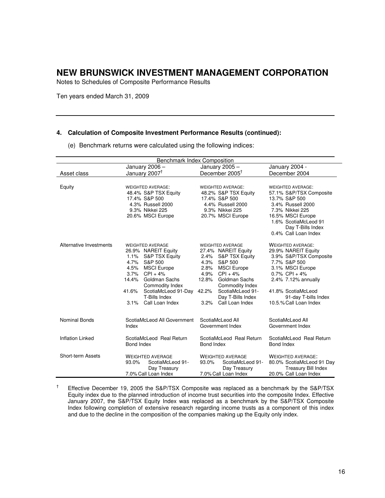Notes to Schedules of Composite Performance Results

Ten years ended March 31, 2009

#### **4. Calculation of Composite Investment Performance Results (continued):**

(e) Benchmark returns were calculated using the following indices:

| <b>Benchmark Index Composition</b> |                                                                                                                                                                                                                                                                             |                                                                                                                                                                                                                                                                           |                                                                                                                                                                                                                                  |  |  |  |
|------------------------------------|-----------------------------------------------------------------------------------------------------------------------------------------------------------------------------------------------------------------------------------------------------------------------------|---------------------------------------------------------------------------------------------------------------------------------------------------------------------------------------------------------------------------------------------------------------------------|----------------------------------------------------------------------------------------------------------------------------------------------------------------------------------------------------------------------------------|--|--|--|
|                                    | January 2006 -                                                                                                                                                                                                                                                              | January 2005 -                                                                                                                                                                                                                                                            | January 2004 -                                                                                                                                                                                                                   |  |  |  |
| Asset class                        | January 2007 <sup>†</sup>                                                                                                                                                                                                                                                   | December 2005 <sup>†</sup>                                                                                                                                                                                                                                                | December 2004                                                                                                                                                                                                                    |  |  |  |
| Equity                             | <b>WEIGHTED AVERAGE:</b><br>48.4% S&P TSX Equity<br>17.4% S&P 500<br>4.3% Russell 2000<br>9.3% Nikkei 225<br>20.6% MSCI Europe                                                                                                                                              | <b>WEIGHTED AVERAGE:</b><br>48.2% S&P TSX Equity<br>17.4% S&P 500<br>4.4% Russell 2000<br>9.3% Nikkei 225<br>20.7% MSCI Europe                                                                                                                                            | <b>WEIGHTED AVERAGE:</b><br>57.1% S&P/TSX Composite<br>13.7% S&P 500<br>3.4% Russell 2000<br>7.3% Nikkei 225<br>16.5% MSCI Europe                                                                                                |  |  |  |
|                                    |                                                                                                                                                                                                                                                                             |                                                                                                                                                                                                                                                                           | 1.6% ScotiaMcLeod 91<br>Day T-Bills Index<br>0.4% Call Loan Index                                                                                                                                                                |  |  |  |
| Alternative Investments            | <b>WEIGHTED AVERAGE</b><br>26.9% NAREIT Equity<br>S&P TSX Equity<br>$1.1\%$<br>4.7%<br>S&P 500<br>4.5%<br><b>MSCI Europe</b><br>3.7%<br>$CPI + 4%$<br>Goldman Sachs<br>14.4%<br>Commodity Index<br>41.6%<br>ScotiaMcLeod 91-Day<br>T-Bills Index<br>Call Loan Index<br>3.1% | <b>WEIGHTED AVERAGE</b><br>27.4% NAREIT Equity<br>S&P TSX Equity<br>2.4%<br>S&P 500<br>4.3%<br>2.8%<br><b>MSCI Europe</b><br>4.9%<br>$CPI + 4%$<br>Goldman Sachs<br>12.8%<br>Commodity Index<br>42.2%<br>ScotiaMcLeod 91-<br>Day T-Bills Index<br>3.2%<br>Call Loan Index | <b>WEIGHTED AVERAGE:</b><br>29.9% NAREIT Equity<br>3.9% S&P/TSX Composite<br>7.7% S&P 500<br>3.1% MSCI Europe<br>$0.7\%$ CPI + 4%<br>2.4% 7.12% annually<br>41.8% ScotiaMcLeod<br>91-day T-bills Index<br>10.5.% Call Loan Index |  |  |  |
| Nominal Bonds                      | ScotiaMcLeod All Government<br>Index                                                                                                                                                                                                                                        | ScotiaMcLeod All<br>Government Index                                                                                                                                                                                                                                      | ScotiaMcLeod All<br>Government Index                                                                                                                                                                                             |  |  |  |
| <b>Inflation Linked</b>            | ScotiaMcLeod Real Return<br>Bond Index                                                                                                                                                                                                                                      | ScotiaMcLeod Real Return<br>Bond Index                                                                                                                                                                                                                                    | ScotiaMcLeod Real Return<br>Bond Index                                                                                                                                                                                           |  |  |  |
| <b>Short-term Assets</b>           | <b>WEIGHTED AVERAGE</b><br>93.0%<br>ScotiaMcLeod 91-<br>Day Treasury<br>7.0% Call Loan Index                                                                                                                                                                                | <b>WEIGHTED AVERAGE</b><br>93.0%<br>ScotiaMcLeod 91-<br>Day Treasury<br>7.0% Call Loan Index                                                                                                                                                                              | <b>WEIGHTED AVERAGE:</b><br>80.0% ScotiaMcLeod 91 Day<br><b>Treasury Bill Index</b><br>20.0% Call Loan Index                                                                                                                     |  |  |  |

 $^{\dagger}$  Effective December 19, 2005 the S&P/TSX Composite was replaced as a benchmark by the S&P/TSX Equity index due to the planned introduction of income trust securities into the composite Index. Effective January 2007, the S&P/TSX Equity Index was replaced as a benchmark by the S&P/TSX Composite Index following completion of extensive research regarding income trusts as a component of this index and due to the decline in the composition of the companies making up the Equity only index.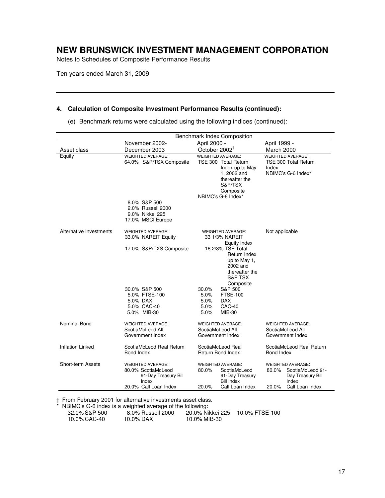Notes to Schedules of Composite Performance Results

Ten years ended March 31, 2009

#### **4. Calculation of Composite Investment Performance Results (continued):**

(e) Benchmark returns were calculated using the following indices (continued):

|                         | <b>Benchmark Index Composition</b>                                                                       |                                                                                                                                                        |                                                                                                                 |
|-------------------------|----------------------------------------------------------------------------------------------------------|--------------------------------------------------------------------------------------------------------------------------------------------------------|-----------------------------------------------------------------------------------------------------------------|
|                         | November 2002-                                                                                           | April 2000 -                                                                                                                                           | April 1999 -                                                                                                    |
| Asset class             | December 2003                                                                                            | October 2002 <sup>T</sup>                                                                                                                              | March 2000                                                                                                      |
| Equity                  | <b>WEIGHTED AVERAGE:</b><br>64.0% S&P/TSX Composite                                                      | <b>WEIGHTED AVERAGE:</b><br>TSE 300 Total Return<br>Index up to May<br>1, 2002 and<br>thereafter the<br>S&P/TSX<br>Composite<br>NBIMC's G-6 Index*     | <b>WEIGHTED AVERAGE:</b><br>TSE 300 Total Return<br>Index<br>NBIMC's G-6 Index*                                 |
|                         | 8.0% S&P 500<br>2.0% Russell 2000<br>9.0% Nikkei 225<br>17.0% MSCI Europe                                |                                                                                                                                                        |                                                                                                                 |
| Alternative Investments | <b>WEIGHTED AVERAGE:</b><br>33.0% NAREIT Equity                                                          | <b>WEIGHTED AVERAGE:</b><br>33 1/3% NAREIT<br><b>Equity Index</b>                                                                                      | Not applicable                                                                                                  |
|                         | 17.0% S&P/TXS Composite<br>30.0% S&P 500<br>5.0% FTSE-100                                                | 16 2/3% TSE Total<br>Return Index<br>up to May 1,<br>2002 and<br>thereafter the<br>S&P TSX<br>Composite<br>30.0%<br>S&P 500<br>5.0%<br><b>FTSE-100</b> |                                                                                                                 |
|                         | 5.0% DAX<br>5.0% CAC-40<br>5.0% MIB-30                                                                   | 5.0%<br>DAX.<br>5.0%<br>CAC-40<br>5.0%<br>MIB-30                                                                                                       |                                                                                                                 |
| <b>Nominal Bond</b>     | <b>WEIGHTED AVERAGE:</b><br>ScotiaMcLeod All<br>Government Index                                         | <b>WEIGHTED AVERAGE:</b><br>ScotiaMcLeod All<br>Government Index                                                                                       | <b>WEIGHTED AVERAGE:</b><br>ScotiaMcLeod All<br>Government Index                                                |
| <b>Inflation Linked</b> | ScotiaMcLeod Real Return<br>Bond Index                                                                   | ScotiaMcLeod Real<br><b>Return Bond Index</b>                                                                                                          | ScotiaMcLeod Real Return<br><b>Bond Index</b>                                                                   |
| Short-term Assets       | <b>WEIGHTED AVERAGE:</b><br>80.0% ScotiaMcLeod<br>91-Day Treasury Bill<br>Index<br>20.0% Call Loan Index | <b>WEIGHTED AVERAGE:</b><br>80.0%<br>ScotiaMcLeod<br>91-Day Treasury<br><b>Bill Index</b><br>20.0%<br>Call Loan Index                                  | <b>WEIGHTED AVERAGE:</b><br>ScotiaMcLeod 91-<br>80.0%<br>Day Treasury Bill<br>Index<br>20.0%<br>Call Loan Index |

† From February 2001 for alternative investments asset class.

NBIMC's G-6 index is a weighted average of the following:<br>32.0% S&P 500 8.0% Russell 2000 20.0% Nil 8.0% Russell 2000 20.0% Nikkei 225 10.0% FTSE-100<br>10.0% DAX 10.0% MIB-30 10.0% CAC-40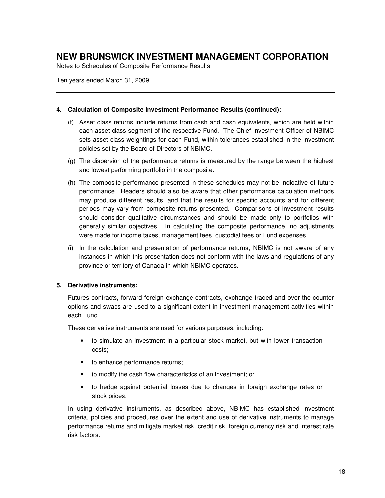Notes to Schedules of Composite Performance Results

Ten years ended March 31, 2009

#### **4. Calculation of Composite Investment Performance Results (continued):**

- (f) Asset class returns include returns from cash and cash equivalents, which are held within each asset class segment of the respective Fund. The Chief Investment Officer of NBIMC sets asset class weightings for each Fund, within tolerances established in the investment policies set by the Board of Directors of NBIMC.
- (g) The dispersion of the performance returns is measured by the range between the highest and lowest performing portfolio in the composite.
- (h) The composite performance presented in these schedules may not be indicative of future performance. Readers should also be aware that other performance calculation methods may produce different results, and that the results for specific accounts and for different periods may vary from composite returns presented. Comparisons of investment results should consider qualitative circumstances and should be made only to portfolios with generally similar objectives. In calculating the composite performance, no adjustments were made for income taxes, management fees, custodial fees or Fund expenses.
- (i) In the calculation and presentation of performance returns, NBIMC is not aware of any instances in which this presentation does not conform with the laws and regulations of any province or territory of Canada in which NBIMC operates.

#### **5. Derivative instruments:**

Futures contracts, forward foreign exchange contracts, exchange traded and over-the-counter options and swaps are used to a significant extent in investment management activities within each Fund.

These derivative instruments are used for various purposes, including:

- to simulate an investment in a particular stock market, but with lower transaction costs;
- to enhance performance returns;
- to modify the cash flow characteristics of an investment; or
- to hedge against potential losses due to changes in foreign exchange rates or stock prices.

In using derivative instruments, as described above, NBIMC has established investment criteria, policies and procedures over the extent and use of derivative instruments to manage performance returns and mitigate market risk, credit risk, foreign currency risk and interest rate risk factors.